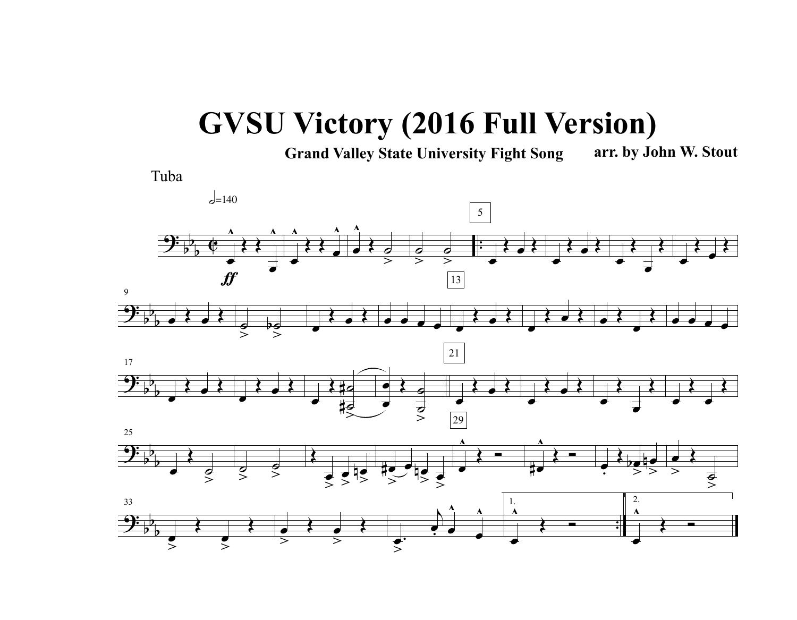## **GVSU Victory (2016 Full Version)**

**Grand Valley State University Fight Song arr. by John W. Stout**

Tuba

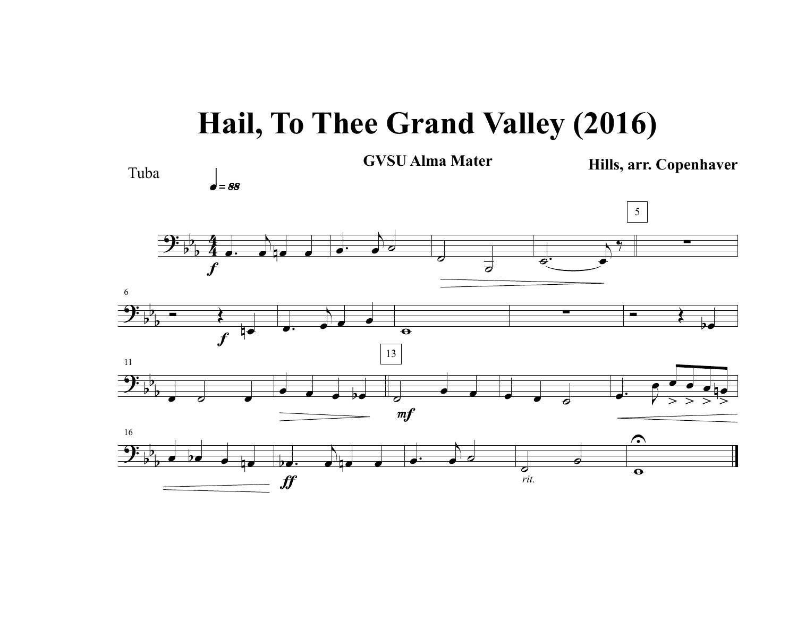## **Hail, To Thee Grand Valley (2016)**

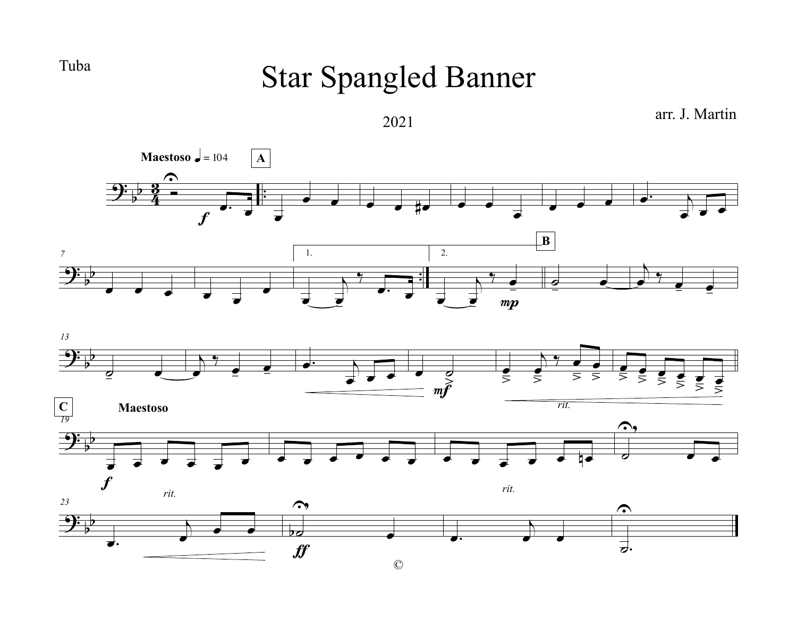## Star Spangled Banner



Tuba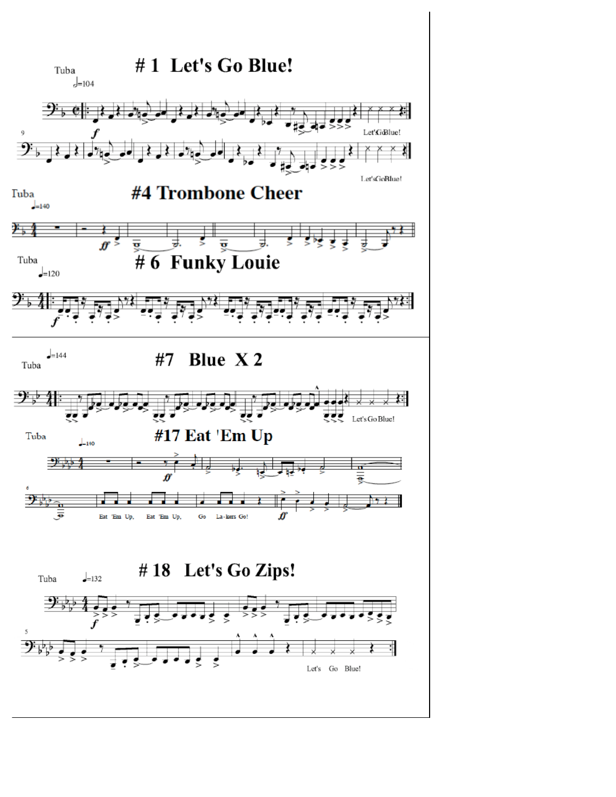